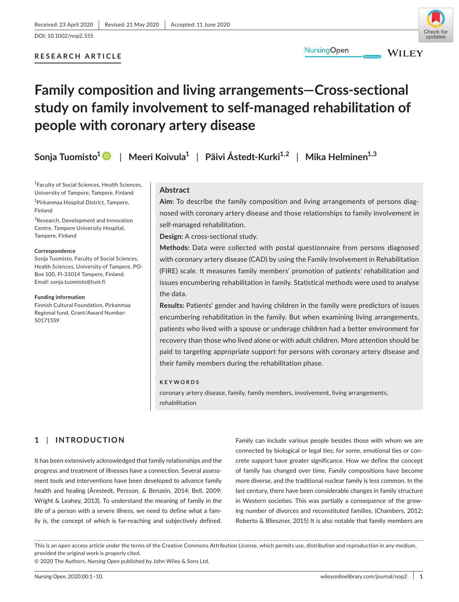# **RESEARCH ARTICLE**

# **Family composition and living arrangements—Cross-sectional study on family involvement to self-managed rehabilitation of people with coronary artery disease**

**Sonja Tuomisto1** | **Meeri Koivula1** | **Päivi Åstedt-Kurki1,2** | **Mika Helminen1,3**

1 Faculty of Social Sciences, Health Sciences, University of Tampere, Tampere, Finland <sup>2</sup>Pirkanmaa Hospital District, Tampere, Finland

<sup>3</sup>Research, Development and Innovation Centre, Tampere University Hospital, Tampere, Finland

#### **Correspondence**

Sonja Tuomisto, Faculty of Social Sciences, Health Sciences, University of Tampere, PO-Box 100, FI-33014 Tampere, Finland. Email: [sonja.tuomisto@tuni.fi](mailto:sonja.tuomisto@tuni.fi)

#### **Funding information**

Finnish Cultural Foundation, Pirkanmaa Regional fund, Grant/Award Number: 50171559

## **Abstract**

**Aim:** To describe the family composition and living arrangements of persons diagnosed with coronary artery disease and those relationships to family involvement in self-managed rehabilitation.

**Design:** A cross-sectional study.

**Methods:** Data were collected with postal questionnaire from persons diagnosed with coronary artery disease (CAD) by using the Family Involvement in Rehabilitation (FIRE) scale. It measures family members' promotion of patients' rehabilitation and issues encumbering rehabilitation in family. Statistical methods were used to analyse the data.

**Results:** Patients' gender and having children in the family were predictors of issues encumbering rehabilitation in the family. But when examining living arrangements, patients who lived with a spouse or underage children had a better environment for recovery than those who lived alone or with adult children. More attention should be paid to targeting appropriate support for persons with coronary artery disease and their family members during the rehabilitation phase.

## **KEYWORDS**

coronary artery disease, family, family members, involvement, living arrangements, rehabilitation

# **1** | **INTRODUCTION**

It has been extensively acknowledged that family relationships and the progress and treatment of illnesses have a connection. Several assessment tools and interventions have been developed to advance family health and healing (Årestedt, Persson, & Benzein, 2014; Bell, 2009; Wright & Leahey, 2013). To understand the meaning of family in the life of a person with a severe illness, we need to define what a family is, the concept of which is far-reaching and subjectively defined.

Family can include various people besides those with whom we are connected by biological or legal ties; for some, emotional ties or concrete support have greater significance. How we define the concept of family has changed over time. Family compositions have become more diverse, and the traditional nuclear family is less common. In the last century, there have been considerable changes in family structure in Western societies. This was partially a consequence of the growing number of divorces and reconstituted families. (Chambers, 2012; Roberto & Blieszner, 2015) It is also notable that family members are

This is an open access article under the terms of the [Creative Commons Attribution](http://creativecommons.org/licenses/by/4.0/) License, which permits use, distribution and reproduction in any medium, provided the original work is properly cited.

© 2020 The Authors. *Nursing Open* published by John Wiley & Sons Ltd.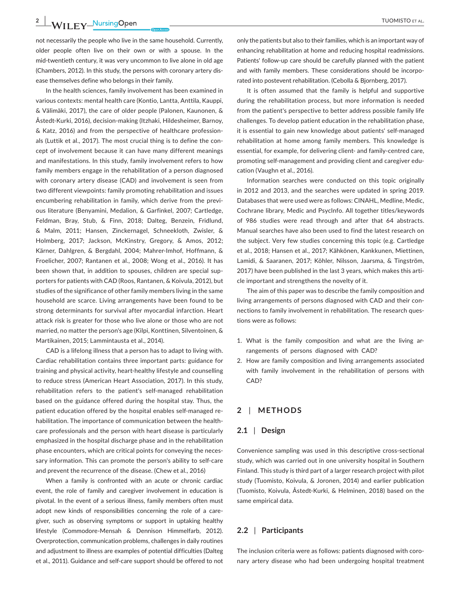**2 WII FV** NursingOpen **100MISTO ET AL.** 

not necessarily the people who live in the same household. Currently, older people often live on their own or with a spouse. In the mid-twentieth century, it was very uncommon to live alone in old age (Chambers, 2012). In this study, the persons with coronary artery disease themselves define who belongs in their family.

In the health sciences, family involvement has been examined in various contexts: mental health care (Kontio, Lantta, Anttila, Kauppi, & Välimäki, 2017), the care of older people (Palonen, Kaunonen, & Åstedt-Kurki, 2016), decision-making (Itzhaki, Hildesheimer, Barnoy, & Katz, 2016) and from the perspective of healthcare professionals (Luttik et al., 2017). The most crucial thing is to define the concept of involvement because it can have many different meanings and manifestations. In this study, family involvement refers to how family members engage in the rehabilitation of a person diagnosed with coronary artery disease (CAD) and involvement is seen from two different viewpoints: family promoting rehabilitation and issues encumbering rehabilitation in family, which derive from the previous literature (Benyamini, Medalion, & Garfinkel, 2007; Cartledge, Feldman, Bray, Stub, & Finn, 2018; Dalteg, Benzein, Fridlund, & Malm, 2011; Hansen, Zinckernagel, Schneekloth, Zwisler, & Holmberg, 2017; Jackson, McKinstry, Gregory, & Amos, 2012; Kärner, Dahlgren, & Bergdahl, 2004; Mahrer-Imhof, Hoffmann, & Froelicher, 2007; Rantanen et al., 2008; Wong et al., 2016). It has been shown that, in addition to spouses, children are special supporters for patients with CAD (Roos, Rantanen, & Koivula, 2012), but studies of the significance of other family members living in the same household are scarce. Living arrangements have been found to be strong determinants for survival after myocardial infarction. Heart attack risk is greater for those who live alone or those who are not married, no matter the person's age (Kilpi, Konttinen, Silventoinen, & Martikainen, 2015; Lammintausta et al., 2014).

CAD is a lifelong illness that a person has to adapt to living with. Cardiac rehabilitation contains three important parts: guidance for training and physical activity, heart-healthy lifestyle and counselling to reduce stress (American Heart Association, 2017). In this study, rehabilitation refers to the patient's self-managed rehabilitation based on the guidance offered during the hospital stay. Thus, the patient education offered by the hospital enables self-managed rehabilitation. The importance of communication between the healthcare professionals and the person with heart disease is particularly emphasized in the hospital discharge phase and in the rehabilitation phase encounters, which are critical points for conveying the necessary information. This can promote the person's ability to self-care and prevent the recurrence of the disease. (Chew et al., 2016)

When a family is confronted with an acute or chronic cardiac event, the role of family and caregiver involvement in education is pivotal. In the event of a serious illness, family members often must adopt new kinds of responsibilities concerning the role of a caregiver, such as observing symptoms or support in uptaking healthy lifestyle (Commodore-Mensah & Dennison Himmelfarb, 2012). Overprotection, communication problems, challenges in daily routines and adjustment to illness are examples of potential difficulties (Dalteg et al., 2011). Guidance and self-care support should be offered to not

only the patients but also to their families, which is an important way of enhancing rehabilitation at home and reducing hospital readmissions. Patients' follow-up care should be carefully planned with the patient and with family members. These considerations should be incorporated into postevent rehabilitation. (Cebolla & Bjornberg, 2017).

It is often assumed that the family is helpful and supportive during the rehabilitation process, but more information is needed from the patient's perspective to better address possible family life challenges. To develop patient education in the rehabilitation phase, it is essential to gain new knowledge about patients' self-managed rehabilitation at home among family members. This knowledge is essential, for example, for delivering client- and family-centred care, promoting self-management and providing client and caregiver education (Vaughn et al., 2016).

Information searches were conducted on this topic originally in 2012 and 2013, and the searches were updated in spring 2019. Databases that were used were as follows: CINAHL, Medline, Medic, Cochrane library, Medic and PsycInfo. All together titles/keywords of 986 studies were read through and after that 64 abstracts. Manual searches have also been used to find the latest research on the subject. Very few studies concerning this topic (e.g. Cartledge et al., 2018; Hansen et al., 2017; Kähkönen, Kankkunen, Miettinen, Lamidi, & Saaranen, 2017; Köhler, Nilsson, Jaarsma, & Tingström, 2017) have been published in the last 3 years, which makes this article important and strengthens the novelty of it.

The aim of this paper was to describe the family composition and living arrangements of persons diagnosed with CAD and their connections to family involvement in rehabilitation. The research questions were as follows:

- 1. What is the family composition and what are the living arrangements of persons diagnosed with CAD?
- 2. How are family composition and living arrangements associated with family involvement in the rehabilitation of persons with CAD?

# **2** | **METHODS**

## **2.1** | **Design**

Convenience sampling was used in this descriptive cross-sectional study, which was carried out in one university hospital in Southern Finland. This study is third part of a larger research project with pilot study (Tuomisto, Koivula, & Joronen, 2014) and earlier publication (Tuomisto, Koivula, Åstedt-Kurki, & Helminen, 2018) based on the same empirical data.

## **2.2** | **Participants**

The inclusion criteria were as follows: patients diagnosed with coronary artery disease who had been undergoing hospital treatment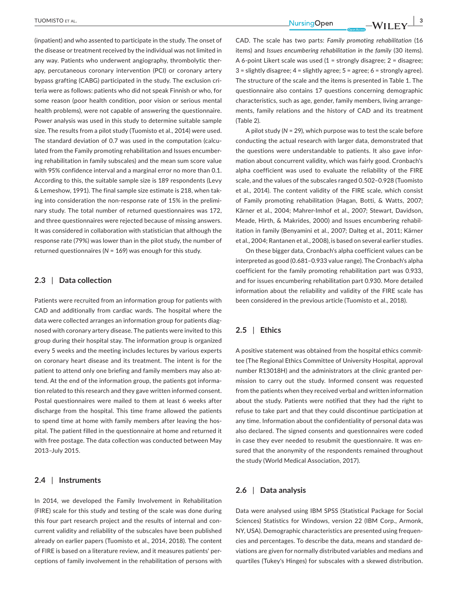(inpatient) and who assented to participate in the study. The onset of the disease or treatment received by the individual was not limited in any way. Patients who underwent angiography, thrombolytic therapy, percutaneous coronary intervention (PCI) or coronary artery bypass grafting (CABG) participated in the study. The exclusion criteria were as follows: patients who did not speak Finnish or who, for some reason (poor health condition, poor vision or serious mental health problems), were not capable of answering the questionnaire. Power analysis was used in this study to determine suitable sample size. The results from a pilot study (Tuomisto et al., 2014) were used. The standard deviation of 0.7 was used in the computation (calculated from the Family promoting rehabilitation and Issues encumbering rehabilitation in family subscales) and the mean sum score value with 95% confidence interval and a marginal error no more than 0.1. According to this, the suitable sample size is 189 respondents (Levy & Lemeshow, 1991). The final sample size estimate is 218, when taking into consideration the non-response rate of 15% in the preliminary study. The total number of returned questionnaires was 172, and three questionnaires were rejected because of missing answers. It was considered in collaboration with statistician that although the response rate (79%) was lower than in the pilot study, the number of returned questionnaires (*N* = 169) was enough for this study.

## **2.3** | **Data collection**

Patients were recruited from an information group for patients with CAD and additionally from cardiac wards. The hospital where the data were collected arranges an information group for patients diagnosed with coronary artery disease. The patients were invited to this group during their hospital stay. The information group is organized every 5 weeks and the meeting includes lectures by various experts on coronary heart disease and its treatment. The intent is for the patient to attend only one briefing and family members may also attend. At the end of the information group, the patients got information related to this research and they gave written informed consent. Postal questionnaires were mailed to them at least 6 weeks after discharge from the hospital. This time frame allowed the patients to spend time at home with family members after leaving the hospital. The patient filled in the questionnaire at home and returned it with free postage. The data collection was conducted between May 2013–July 2015.

## **2.4** | **Instruments**

In 2014, we developed the Family Involvement in Rehabilitation (FIRE) scale for this study and testing of the scale was done during this four part research project and the results of internal and concurrent validity and reliability of the subscales have been published already on earlier papers (Tuomisto et al., 2014, 2018). The content of FIRE is based on a literature review, and it measures patients' perceptions of family involvement in the rehabilitation of persons with

 **<u>TUOMISTO ET AL.</u>**  $\blacksquare$   $\blacksquare$   $\blacksquare$   $\blacksquare$   $\blacksquare$   $\blacksquare$   $\blacksquare$   $\blacksquare$   $\blacksquare$   $\blacksquare$   $\blacksquare$   $\blacksquare$   $\blacksquare$   $\blacksquare$   $\blacksquare$   $\blacksquare$   $\blacksquare$   $\blacksquare$   $\blacksquare$   $\blacksquare$   $\blacksquare$   $\blacksquare$   $\blacksquare$   $\blacksquare$   $\blacksquare$   $\blacksquare$   $\blacksquare$   $\blacksquare$   $\$ 

CAD. The scale has two parts: *Family promoting rehabilitation* (16 items) and *Issues encumbering rehabilitation in the family* (30 items). A 6-point Likert scale was used  $(1 =$  strongly disagree;  $2 =$  disagree;  $3 =$  slightly disagree;  $4 =$  slightly agree;  $5 =$  agree;  $6 =$  strongly agree). The structure of the scale and the items is presented in Table 1. The questionnaire also contains 17 questions concerning demographic characteristics, such as age, gender, family members, living arrangements, family relations and the history of CAD and its treatment (Table 2).

A pilot study (*N* = 29), which purpose was to test the scale before conducting the actual research with larger data, demonstrated that the questions were understandable to patients. It also gave information about concurrent validity, which was fairly good. Cronbach's alpha coefficient was used to evaluate the reliability of the FIRE scale, and the values of the subscales ranged 0.502–0.928 (Tuomisto et al., 2014). The content validity of the FIRE scale, which consist of Family promoting rehabilitation (Hagan, Botti, & Watts, 2007; Kärner et al., 2004; Mahrer-Imhof et al., 2007; Stewart, Davidson, Meade, Hirth, & Makrides, 2000) and Issues encumbering rehabilitation in family (Benyamini et al., 2007; Dalteg et al., 2011; Kärner et al., 2004; Rantanen et al., 2008), is based on several earlier studies.

On these bigger data, Cronbach's alpha coefficient values can be interpreted as good (0.681–0.933 value range). The Cronbach's alpha coefficient for the family promoting rehabilitation part was 0.933, and for issues encumbering rehabilitation part 0.930. More detailed information about the reliability and validity of the FIRE scale has been considered in the previous article (Tuomisto et al., 2018).

## **2.5** | **Ethics**

A positive statement was obtained from the hospital ethics committee (The Regional Ethics Committee of University Hospital, approval number R13018H) and the administrators at the clinic granted permission to carry out the study. Informed consent was requested from the patients when they received verbal and written information about the study. Patients were notified that they had the right to refuse to take part and that they could discontinue participation at any time. Information about the confidentiality of personal data was also declared. The signed consents and questionnaires were coded in case they ever needed to resubmit the questionnaire. It was ensured that the anonymity of the respondents remained throughout the study (World Medical Association, 2017).

## **2.6** | **Data analysis**

Data were analysed using IBM SPSS (Statistical Package for Social Sciences) Statistics for Windows, version 22 (IBM Corp., Armonk, NY, USA). Demographic characteristics are presented using frequencies and percentages. To describe the data, means and standard deviations are given for normally distributed variables and medians and quartiles (Tukey's Hinges) for subscales with a skewed distribution.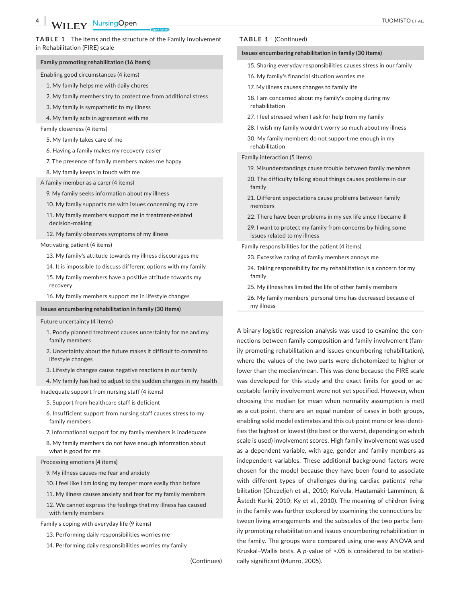#### **TABLE 1** The items and the structure of the Family Involvement in Rehabilitation (FIRE) scale

#### **Family promoting rehabilitation (16 items)**

Enabling good circumstances (4 items)

- 1. My family helps me with daily chores
- 2. My family members try to protect me from additional stress
- 3. My family is sympathetic to my illness
- 4. My family acts in agreement with me
- Family closeness (4 items)
	- 5. My family takes care of me
	- 6. Having a family makes my recovery easier
	- 7. The presence of family members makes me happy
	- 8. My family keeps in touch with me
- A family member as a carer (4 items)
	- 9. My family seeks information about my illness
	- 10. My family supports me with issues concerning my care
	- 11. My family members support me in treatment-related decision-making
	- 12. My family observes symptoms of my illness

Motivating patient (4 items)

- 13. My family's attitude towards my illness discourages me
- 14. It is impossible to discuss different options with my family
- 15. My family members have a positive attitude towards my recovery
- 16. My family members support me in lifestyle changes

#### **Issues encumbering rehabilitation in family (30 items)**

#### Future uncertainty (4 items)

- 1. Poorly planned treatment causes uncertainty for me and my family members
- 2. Uncertainty about the future makes it difficult to commit to lifestyle changes
- 3. Lifestyle changes cause negative reactions in our family
- 4. My family has had to adjust to the sudden changes in my health

Inadequate support from nursing staff (4 items)

- 5. Support from healthcare staff is deficient
- 6. Insufficient support from nursing staff causes stress to my family members
- 7. Informational support for my family members is inadequate

8. My family members do not have enough information about what is good for me

Processing emotions (4 items)

- 9. My illness causes me fear and anxiety
- 10. I feel like I am losing my temper more easily than before
- 11. My illness causes anxiety and fear for my family members

12. We cannot express the feelings that my illness has caused with family members

Family's coping with everyday life (9 items)

- 13. Performing daily responsibilities worries me
- 14. Performing daily responsibilities worries my family

(Continues)

#### **TABLE 1** (Continued)

#### **Issues encumbering rehabilitation in family (30 items)**

- 15. Sharing everyday responsibilities causes stress in our family
- 16. My family's financial situation worries me
- 17. My illness causes changes to family life
- 18. I am concerned about my family's coping during my rehabilitation
- 27. I feel stressed when I ask for help from my family
- 28. I wish my family wouldn't worry so much about my illness
- 30. My family members do not support me enough in my rehabilitation

#### Family interaction (5 items)

- 19. Misunderstandings cause trouble between family members
- 20. The difficulty talking about things causes problems in our family
- 21. Different expectations cause problems between family members
- 22. There have been problems in my sex life since I became ill
- 29. I want to protect my family from concerns by hiding some issues related to my illness

Family responsibilities for the patient (4 items)

- 23. Excessive caring of family members annoys me
- 24. Taking responsibility for my rehabilitation is a concern for my family
- 25. My illness has limited the life of other family members
- 26. My family members' personal time has decreased because of my illness

A binary logistic regression analysis was used to examine the connections between family composition and family involvement (family promoting rehabilitation and issues encumbering rehabilitation), where the values of the two parts were dichotomized to higher or lower than the median/mean. This was done because the FIRE scale was developed for this study and the exact limits for good or acceptable family involvement were not yet specified. However, when choosing the median (or mean when normality assumption is met) as a cut-point, there are an equal number of cases in both groups, enabling solid model estimates and this cut-point more or less identifies the highest or lowest (the best or the worst, depending on which scale is used) involvement scores. High family involvement was used as a dependent variable, with age, gender and family members as independent variables. These additional background factors were chosen for the model because they have been found to associate with different types of challenges during cardiac patients' rehabilitation (Ghezeljeh et al., 2010; Koivula, Hautamäki-Lamminen, & Åstedt-Kurki, 2010; Ky et al., 2010). The meaning of children living in the family was further explored by examining the connections between living arrangements and the subscales of the two parts: family promoting rehabilitation and issues encumbering rehabilitation in the family. The groups were compared using one-way ANOVA and Kruskal–Wallis tests. A *p-*value of <.05 is considered to be statistically significant (Munro, 2005).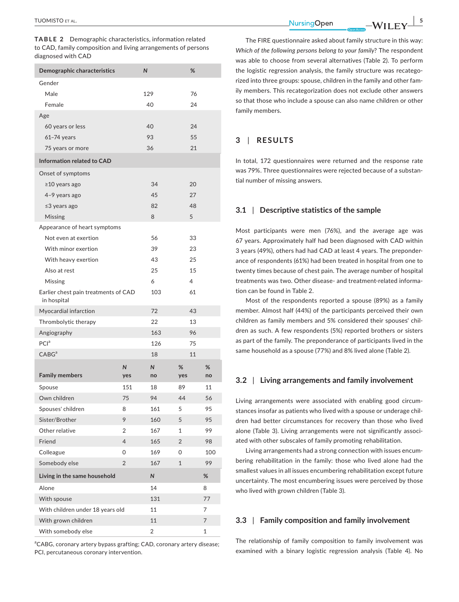**TABLE 2** Demographic characteristics, information related to CAD, family composition and living arrangements of persons diagnosed with CAD

| Demographic characteristics                         |     | N              | %              |     |
|-----------------------------------------------------|-----|----------------|----------------|-----|
| Gender                                              |     |                |                |     |
| Male                                                |     | 129            | 76             |     |
| Female                                              |     | 40             | 24             |     |
| Age                                                 |     |                |                |     |
| 60 years or less                                    |     | 40             | 24             |     |
| $61-74$ years                                       |     | 93             | 55             |     |
| 75 years or more                                    |     | 36             | 21             |     |
| <b>Information related to CAD</b>                   |     |                |                |     |
| Onset of symptoms                                   |     |                |                |     |
| ≥10 years ago                                       |     | 34             | 20             |     |
| 4-9 years ago                                       |     | 45             | 27             |     |
| ≤3 years ago                                        |     | 82             | 48             |     |
| Missing                                             |     | 8              | 5              |     |
| Appearance of heart symptoms                        |     |                |                |     |
| Not even at exertion                                |     | 56             | 33             |     |
| With minor exertion                                 |     | 39             | 23             |     |
| With heavy exertion                                 |     | 43             | 25             |     |
| Also at rest                                        |     | 25             | 15             |     |
| Missing                                             |     | 6              | 4              |     |
| Earlier chest pain treatments of CAD<br>in hospital |     | 103            | 61             |     |
| Myocardial infarction                               |     | 72             | 43             |     |
| Thrombolytic therapy                                |     | 22             | 13             |     |
| Angiography                                         |     | 163            | 96             |     |
| PCl <sup>a</sup>                                    | 126 | 75             |                |     |
| CABG <sup>a</sup>                                   |     | 18             | 11             |     |
|                                                     | Ν   | N              | %              | %   |
| <b>Family members</b>                               | yes | no             | yes            | no  |
| Spouse                                              | 151 | 18             | 89             | 11  |
| Own children                                        | 75  | 94             | 44             | 56  |
| Spouses' children                                   | 8   | 161            | 5              | 95  |
| Sister/Brother                                      | 9   | 160            | 5              | 95  |
| Other relative                                      | 2   | 167            | 1              | 99  |
| Friend                                              | 4   | 165            | $\overline{2}$ | 98  |
| Colleague                                           | 0   | 169            | 0              | 100 |
| Somebody else                                       | 2   | 167            | $\mathbf{1}$   | 99  |
| Living in the same household                        |     | N              |                | %   |
| Alone                                               |     | 14             |                | 8   |
| With spouse                                         | 131 |                | 77             |     |
| With children under 18 years old                    | 11  |                | 7              |     |
| With grown children                                 | 11  |                | 7              |     |
| With somebody else                                  |     | $\overline{2}$ |                | 1   |

<sup>a</sup>CABG, coronary artery bypass grafting; CAD, coronary artery disease; PCI, percutaneous coronary intervention.

 **<u>TUOMISTO ET AL.</u> 55 AU. 1997 TUOMISTO ET AL. 1997 TUOMISTO ET AL. 54 AU. 54 AU. 54 AU. 54 AU. 55 AU. 54 AU. 55 AU. 55 AU. 55 AU. 55 AU. 55 AU. 55 AU. 55 AU. 55 AU. 55 AU. 55 AU.**

The FIRE questionnaire asked about family structure in this way: *Which of the following persons belong to your family*? The respondent was able to choose from several alternatives (Table 2). To perform the logistic regression analysis, the family structure was recategorized into three groups: spouse, children in the family and other family members. This recategorization does not exclude other answers so that those who include a spouse can also name children or other family members.

## **3** | **RESULTS**

In total, 172 questionnaires were returned and the response rate was 79%. Three questionnaires were rejected because of a substantial number of missing answers.

## **3.1** | **Descriptive statistics of the sample**

Most participants were men (76%), and the average age was 67 years. Approximately half had been diagnosed with CAD within 3 years (49%), others had had CAD at least 4 years. The preponderance of respondents (61%) had been treated in hospital from one to twenty times because of chest pain. The average number of hospital treatments was two. Other disease- and treatment-related information can be found in Table 2.

Most of the respondents reported a spouse (89%) as a family member. Almost half (44%) of the participants perceived their own children as family members and 5% considered their spouses' children as such. A few respondents (5%) reported brothers or sisters as part of the family. The preponderance of participants lived in the same household as a spouse (77%) and 8% lived alone (Table 2).

## **3.2** | **Living arrangements and family involvement**

Living arrangements were associated with enabling good circumstances insofar as patients who lived with a spouse or underage children had better circumstances for recovery than those who lived alone (Table 3). Living arrangements were not significantly associated with other subscales of family promoting rehabilitation.

Living arrangements had a strong connection with issues encumbering rehabilitation in the family: those who lived alone had the smallest values in all issues encumbering rehabilitation except future uncertainty. The most encumbering issues were perceived by those who lived with grown children (Table 3).

## **3.3** | **Family composition and family involvement**

The relationship of family composition to family involvement was examined with a binary logistic regression analysis (Table 4). No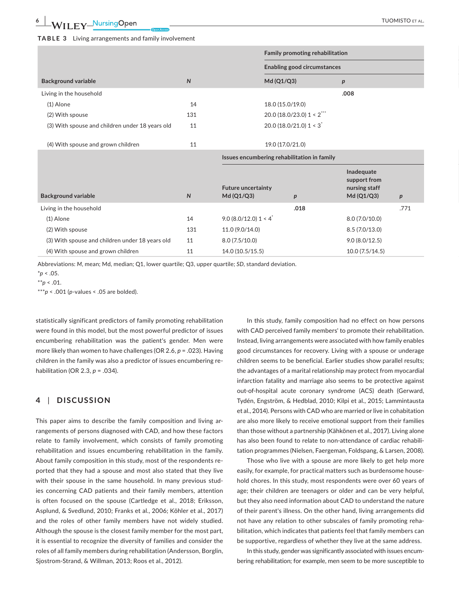## **TABLE 3** Living arrangements and family involvement

|                                                 |     | Family promoting rehabilitation             |            |
|-------------------------------------------------|-----|---------------------------------------------|------------|
|                                                 |     | <b>Enabling good circumstances</b>          |            |
| <b>Background variable</b>                      | N   | Md (Q1/Q3)                                  |            |
| Living in the household                         |     |                                             | .008       |
| (1) Alone                                       | 14  | 18.0 (15.0/19.0)                            |            |
| (2) With spouse                                 | 131 | 20.0 (18.0/23.0) $1 < 2$ <sup>***</sup>     |            |
| (3) With spouse and children under 18 years old | 11  | 20.0 (18.0/21.0) $1 < 3$ <sup>*</sup>       |            |
| (4) With spouse and grown children              | 11  | 19.0 (17.0/21.0)                            |            |
|                                                 |     | Issues encumbering rehabilitation in family |            |
|                                                 |     |                                             | Inadequate |

| <b>Background variable</b>                      | N   | <b>Future uncertainty</b><br>Md (Q1/Q3) |      | <b>Illaucyuatc</b><br>support from<br>nursing staff<br>Md (Q1/Q3) |      |
|-------------------------------------------------|-----|-----------------------------------------|------|-------------------------------------------------------------------|------|
| Living in the household                         |     |                                         | .018 |                                                                   | .771 |
| (1) Alone                                       | 14  | $9.0(8.0/12.0)1 < 4^*$                  |      | 8.0(7.0/10.0)                                                     |      |
| (2) With spouse                                 | 131 | 11.0 (9.0/14.0)                         |      | 8.5(7.0/13.0)                                                     |      |
| (3) With spouse and children under 18 years old | 11  | 8.0(7.5/10.0)                           |      | 9.0(8.0/12.5)                                                     |      |
| (4) With spouse and grown children              | 11  | 14.0 (10.5/15.5)                        |      | 10.0 (7.5/14.5)                                                   |      |

Abbreviations: *M*, mean; Md, median; Q1, lower quartile; Q3, upper quartile; *SD*, standard deviation.

 $*$ *p* < .05.

\*\**p* < .01.

\*\*\**p* < .001 (*p*-values < .05 are bolded).

statistically significant predictors of family promoting rehabilitation were found in this model, but the most powerful predictor of issues encumbering rehabilitation was the patient's gender. Men were more likely than women to have challenges (OR 2.6, *p* = .023). Having children in the family was also a predictor of issues encumbering rehabilitation (OR 2.3, *p* = .034).

# **4** | **DISCUSSION**

This paper aims to describe the family composition and living arrangements of persons diagnosed with CAD, and how these factors relate to family involvement, which consists of family promoting rehabilitation and issues encumbering rehabilitation in the family. About family composition in this study, most of the respondents reported that they had a spouse and most also stated that they live with their spouse in the same household. In many previous studies concerning CAD patients and their family members, attention is often focused on the spouse (Cartledge et al., 2018; Eriksson, Asplund, & Svedlund, 2010; Franks et al., 2006; Köhler et al., 2017) and the roles of other family members have not widely studied. Although the spouse is the closest family member for the most part, it is essential to recognize the diversity of families and consider the roles of all family members during rehabilitation (Andersson, Borglin, Sjostrom-Strand, & Willman, 2013; Roos et al., 2012).

In this study, family composition had no effect on how persons with CAD perceived family members' to promote their rehabilitation. Instead, living arrangements were associated with how family enables good circumstances for recovery. Living with a spouse or underage children seems to be beneficial. Earlier studies show parallel results; the advantages of a marital relationship may protect from myocardial infarction fatality and marriage also seems to be protective against out-of-hospital acute coronary syndrome (ACS) death (Gerward, Tydén, Engström, & Hedblad, 2010; Kilpi et al., 2015; Lammintausta et al., 2014). Persons with CAD who are married or live in cohabitation are also more likely to receive emotional support from their families than those without a partnership (Kähkönen et al., 2017). Living alone has also been found to relate to non-attendance of cardiac rehabilitation programmes (Nielsen, Faergeman, Foldspang, & Larsen, 2008).

Those who live with a spouse are more likely to get help more easily, for example, for practical matters such as burdensome household chores. In this study, most respondents were over 60 years of age; their children are teenagers or older and can be very helpful, but they also need information about CAD to understand the nature of their parent's illness. On the other hand, living arrangements did not have any relation to other subscales of family promoting rehabilitation, which indicates that patients feel that family members can be supportive, regardless of whether they live at the same address.

In this study, gender was significantly associated with issues encumbering rehabilitation; for example, men seem to be more susceptible to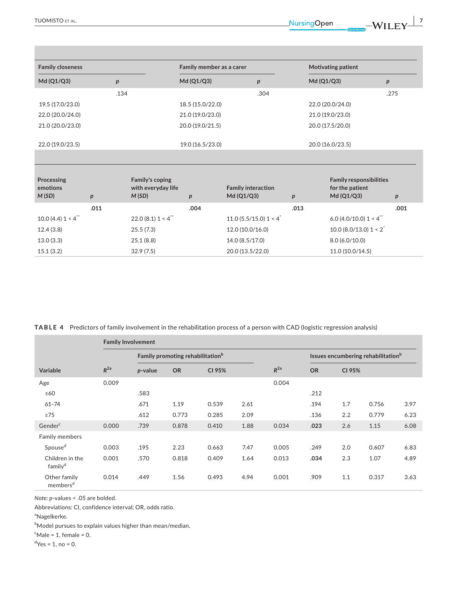| <b>Family closeness</b> |      |                  | Family member as a carer |                  | <b>Motivating patient</b> |  |
|-------------------------|------|------------------|--------------------------|------------------|---------------------------|--|
| Md (Q1/Q3)              |      | Md (Q1/Q3)       |                          | Md (Q1/Q3)       |                           |  |
|                         | .134 |                  | .304                     |                  | .275                      |  |
| 19.5 (17.0/23.0)        |      | 18.5 (15.0/22.0) |                          | 22.0 (20.0/24.0) |                           |  |
| 22.0 (20.0/24.0)        |      | 21.0 (19.0/23.0) |                          | 21.0 (19.0/23.0) |                           |  |
| 21.0 (20.0/23.0)        |      | 20.0 (19.0/21.5) |                          | 20.0 (17.5/20.0) |                           |  |
|                         |      |                  |                          |                  |                           |  |
| 22.0 (19.0/23.5)        |      | 19.0 (16.5/23.0) |                          | 20.0 (16.0/23.5) |                           |  |

|      | <b>Family responsibilities</b><br>for the patient<br>Md (Q1/Q3) |      | <b>Family interaction</b><br>Md (Q1/Q3) |      | <b>Family's coping</b><br>with everyday life<br>M(SD) |      | Processing<br>emotions<br>M(SD) |
|------|-----------------------------------------------------------------|------|-----------------------------------------|------|-------------------------------------------------------|------|---------------------------------|
| .001 |                                                                 | .013 |                                         | .004 |                                                       | .011 |                                 |
|      | 6.0 (4.0/10.0) $1 < 4$ <sup>**</sup>                            |      | 11.0 (5.5/15.0) 1 < 4 <sup>*</sup>      |      | $22.0(8.1)1 < 4^{\degree}$                            |      | 10.0 (4.4) $1 < 4$              |
|      | 10.0 (8.0/13.0) $1 < 2^*$                                       |      | 12.0 (10.0/16.0)                        |      | 25.5(7.3)                                             |      | 12.4(3.8)                       |
|      | 8.0(6.0/10.0)                                                   |      | 14.0 (8.5/17.0)                         |      | 25.1 (8.8)                                            |      | 13.0(3.3)                       |
|      | 11.0(10.0/14.5)                                                 |      | 20.0 (13.5/22.0)                        |      | 32.9(7.5)                                             |      | 15.1(3.2)                       |

**TABLE 4** Predictors of family involvement in the rehabilitation process of a person with CAD (logistic regression analysis)

|                                        | <b>Family Involvement</b> |         |                                              |        |      |          |                                                |        |       |      |  |
|----------------------------------------|---------------------------|---------|----------------------------------------------|--------|------|----------|------------------------------------------------|--------|-------|------|--|
|                                        |                           |         | Family promoting rehabilitation <sup>b</sup> |        |      |          | Issues encumbering rehabilitation <sup>b</sup> |        |       |      |  |
| <b>Variable</b>                        | $R^{2a}$                  | p-value | <b>OR</b>                                    | CI 95% |      | $R^{2a}$ | <b>OR</b>                                      | CI 95% |       |      |  |
| Age                                    | 0.009                     |         |                                              |        |      | 0.004    |                                                |        |       |      |  |
| $\leq 60$                              |                           | .583    |                                              |        |      |          | .212                                           |        |       |      |  |
| $61 - 74$                              |                           | .671    | 1.19                                         | 0.539  | 2.61 |          | .194                                           | 1.7    | 0.756 | 3.97 |  |
| $\geq$ 75                              |                           | .612    | 0.773                                        | 0.285  | 2.09 |          | .136                                           | 2.2    | 0.779 | 6.23 |  |
| Gender <sup>c</sup>                    | 0.000                     | .739    | 0.878                                        | 0.410  | 1.88 | 0.034    | .023                                           | 2.6    | 1.15  | 6.08 |  |
| <b>Family members</b>                  |                           |         |                                              |        |      |          |                                                |        |       |      |  |
| Spouse <sup>d</sup>                    | 0.003                     | .195    | 2.23                                         | 0.663  | 7.47 | 0.005    | .249                                           | 2.0    | 0.607 | 6.83 |  |
| Children in the<br>family <sup>d</sup> | 0.001                     | .570    | 0.818                                        | 0.409  | 1.64 | 0.013    | .034                                           | 2.3    | 1.07  | 4.89 |  |
| Other family<br>members <sup>d</sup>   | 0.014                     | .449    | 1.56                                         | 0.493  | 4.94 | 0.001    | .909                                           | 1.1    | 0.317 | 3.63 |  |

*Note: p*-values < .05 are bolded.

Abbreviations: CI, confidence interval; OR, odds ratio.

<sup>a</sup>Nagelkerke.

 $^{\rm b}$ Model pursues to explain values higher than mean/median.

 $\mathrm{c}^{\mathrm{c}}$ Male = 1, female = 0.

 $d$ Yes = 1, no = 0.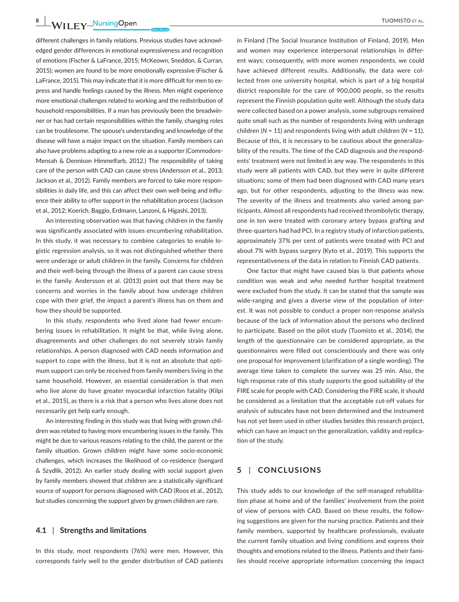**8 |**  TUOMISTO et al.

different challenges in family relations. Previous studies have acknowledged gender differences in emotional expressiveness and recognition of emotions (Fischer & LaFrance, 2015; McKeown, Sneddon, & Curran, 2015); women are found to be more emotionally expressive (Fischer & LaFrance, 2015). This may indicate that it is more difficult for men to express and handle feelings caused by the illness. Men might experience more emotional challenges related to working and the redistribution of household responsibilities. If a man has previously been the breadwinner or has had certain responsibilities within the family, changing roles can be troublesome. The spouse's understanding and knowledge of the disease will have a major impact on the situation. Family members can also have problems adapting to a new role as a supporter (Commodore-Mensah & Dennison Himmelfarb, 2012.) The responsibility of taking care of the person with CAD can cause stress (Andersson et al., 2013; Jackson et al., 2012). Family members are forced to take more responsibilities in daily life, and this can affect their own well-being and influence their ability to offer support in the rehabilitation process (Jackson et al., 2012; Koerich, Baggio, Erdmann, Lanzoni, & Higashi, 2013).

An interesting observation was that having children in the family was significantly associated with issues encumbering rehabilitation. In this study, it was necessary to combine categories to enable logistic regression analysis, so it was not distinguished whether there were underage or adult children in the family. Concerns for children and their well-being through the illness of a parent can cause stress in the family. Andersson et al. (2013) point out that there may be concerns and worries in the family about how underage children cope with their grief, the impact a parent's illness has on them and how they should be supported.

In this study, respondents who lived alone had fewer encumbering issues in rehabilitation. It might be that, while living alone, disagreements and other challenges do not severely strain family relationships. A person diagnosed with CAD needs information and support to cope with the illness, but it is not an absolute that optimum support can only be received from family members living in the same household. However, an essential consideration is that men who live alone do have greater myocardial infarction fatality (Kilpi et al., 2015), as there is a risk that a person who lives alone does not necessarily get help early enough.

An interesting finding in this study was that living with grown children was related to having more encumbering issues in the family. This might be due to various reasons relating to the child, the parent or the family situation. Grown children might have some socio-economic challenges, which increases the likelihood of co-residence (Isengard & Szydlik, 2012). An earlier study dealing with social support given by family members showed that children are a statistically significant source of support for persons diagnosed with CAD (Roos et al., 2012), but studies concerning the support given by grown children are rare.

# **4.1** | **Strengths and limitations**

In this study, most respondents (76%) were men. However, this corresponds fairly well to the gender distribution of CAD patients in Finland (The Social Insurance Institution of Finland, 2019). Men and women may experience interpersonal relationships in different ways; consequently, with more women respondents, we could have achieved different results. Additionally, the data were collected from one university hospital, which is part of a big hospital district responsible for the care of 900,000 people, so the results represent the Finnish population quite well. Although the study data were collected based on a power analysis, some subgroups remained quite small such as the number of respondents living with underage children (*N* = 11) and respondents living with adult children (*N* = 11). Because of this, it is necessary to be cautious about the generalizability of the results. The time of the CAD diagnosis and the respondents' treatment were not limited in any way. The respondents in this study were all patients with CAD, but they were in quite different situations; some of them had been diagnosed with CAD many years ago, but for other respondents, adjusting to the illness was new. The severity of the illness and treatments also varied among participants. Almost all respondents had received thrombolytic therapy, one in ten were treated with coronary artery bypass grafting and three-quarters had had PCI. In a registry study of infarction patients, approximately 37% per cent of patients were treated with PCI and about 7% with bypass surgery (Kyto et al., 2019). This supports the representativeness of the data in relation to Finnish CAD patients.

One factor that might have caused bias is that patients whose condition was weak and who needed further hospital treatment were excluded from the study. It can be stated that the sample was wide-ranging and gives a diverse view of the population of interest. It was not possible to conduct a proper non-response analysis because of the lack of information about the persons who declined to participate. Based on the pilot study (Tuomisto et al., 2014), the length of the questionnaire can be considered appropriate, as the questionnaires were filled out conscientiously and there was only one proposal for improvement (clarification of a single wording). The average time taken to complete the survey was 25 min. Also, the high response rate of this study supports the good suitability of the FIRE scale for people with CAD. Considering the FIRE scale, it should be considered as a limitation that the acceptable cut-off values for analysis of subscales have not been determined and the instrument has not yet been used in other studies besides this research project, which can have an impact on the generalization, validity and replication of the study.

# **5** | **CONCLUSIONS**

This study adds to our knowledge of the self-managed rehabilitation phase at home and of the families' involvement from the point of view of persons with CAD. Based on these results, the following suggestions are given for the nursing practice. Patients and their family members, supported by healthcare professionals, evaluate the current family situation and living conditions and express their thoughts and emotions related to the illness. Patients and their families should receive appropriate information concerning the impact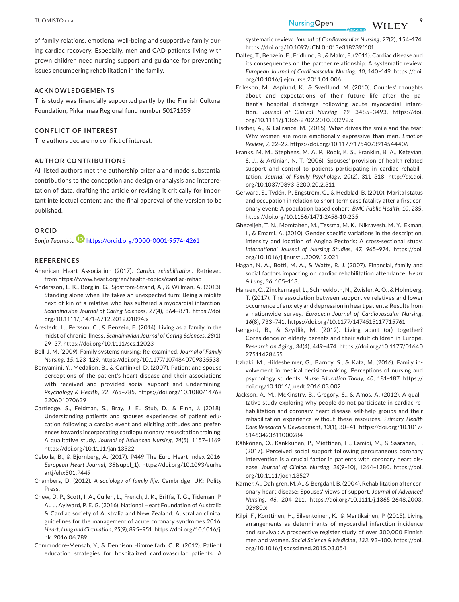**TUOMISTO ET AL. <u>DUMISTO ET AL.</u> 10.000 PM** 

of family relations, emotional well-being and supportive family during cardiac recovery. Especially, men and CAD patients living with grown children need nursing support and guidance for preventing issues encumbering rehabilitation in the family.

## **ACKNOWLEDGEMENTS**

This study was financially supported partly by the Finnish Cultural Foundation, Pirkanmaa Regional fund number 50171559.

## **CONFLICT OF INTEREST**

The authors declare no conflict of interest.

#### **AUTHOR CONTRIBUTIONS**

All listed authors met the authorship criteria and made substantial contributions to the conception and design or analysis and interpretation of data, drafting the article or revising it critically for important intellectual content and the final approval of the version to be published.

## **ORCID**

*Sonja Tuomisto* <https://orcid.org/0000-0001-9574-4261>

#### **REFERENCES**

- American Heart Association (2017). *Cardiac rehabilitation*. Retrieved from <https://www.heart.org/en/health-topics/cardiac-rehab>
- Andersson, E. K., Borglin, G., Sjostrom-Strand, A., & Willman, A. (2013). Standing alone when life takes an unexpected turn: Being a midlife next of kin of a relative who has suffered a myocardial infarction. *Scandinavian Journal of Caring Sciences*, *27*(4), 864–871. [https://doi.](https://doi.org/10.1111/j.1471-6712.2012.01094.x) [org/10.1111/j.1471-6712.2012.01094.x](https://doi.org/10.1111/j.1471-6712.2012.01094.x)
- Årestedt, L., Persson, C., & Benzein, E. (2014). Living as a family in the midst of chronic illness. *Scandinavian Journal of Caring Sciences*, *28*(1), 29–37.<https://doi.org/10.1111/scs.12023>
- Bell, J. M. (2009). Family systems nursing: Re-examined. *Journal of Family Nursing*, *15*, 123–129. <https://doi.org/10.1177/1074840709335533>
- Benyamini, Y., Medalion, B., & Garfinkel, D. (2007). Patient and spouse perceptions of the patient's heart disease and their associations with received and provided social support and undermining. *Psychology & Health*, *22*, 765–785. [https://doi.org/10.1080/14768](https://doi.org/10.1080/14768320601070639) [320601070639](https://doi.org/10.1080/14768320601070639)
- Cartledge, S., Feldman, S., Bray, J. E., Stub, D., & Finn, J. (2018). Understanding patients and spouses experiences of patient education following a cardiac event and eliciting attitudes and preferences towards incorporating cardiopulmonary resuscitation training: A qualitative study. *Journal of Advanced Nursing*, *74*(5), 1157–1169. <https://doi.org/10.1111/jan.13522>
- Cebolla, B., & Bjornberg, A. (2017). P449 The Euro Heart Index 2016. *European Heart Journal*, *38*(suppl\_1), [https://doi.org/10.1093/eurhe](https://doi.org/10.1093/eurheartj/ehx501.P449) [artj/ehx501.P449](https://doi.org/10.1093/eurheartj/ehx501.P449)
- Chambers, D. (2012). *A sociology of family life*. Cambridge, UK: Polity Press.
- Chew, D. P., Scott, I. A., Cullen, L., French, J. K., Briffa, T. G., Tideman, P. A., … Aylward, P. E. G. (2016). National Heart Foundation of Australia & Cardiac society of Australia and New Zealand: Australian clinical guidelines for the management of acute coronary syndromes 2016. *Heart, Lung and Circulation*, *25*(9), 895–951. [https://doi.org/10.1016/j.](https://doi.org/10.1016/j.hlc.2016.06.789) [hlc.2016.06.789](https://doi.org/10.1016/j.hlc.2016.06.789)
- Commodore-Mensah, Y., & Dennison Himmelfarb, C. R. (2012). Patient education strategies for hospitalized cardiovascular patients: A

systematic review. *Journal of Cardiovascular Nursing*, *27*(2), 154–174. <https://doi.org/10.1097/JCN.0b013e318239f60f>

- Dalteg, T., Benzein, E., Fridlund, B., & Malm, E. (2011). Cardiac disease and its consequences on the partner relationship: A systematic review. *European Journal of Cardiovascular Nursing*, *10*, 140–149. [https://doi.](https://doi.org/10.1016/j.ejcnurse.2011.01.006) [org/10.1016/j.ejcnurse.2011.01.006](https://doi.org/10.1016/j.ejcnurse.2011.01.006)
- Eriksson, M., Asplund, K., & Svedlund, M. (2010). Couples' thoughts about and expectations of their future life after the patient's hospital discharge following acute myocardial infarction. *Journal of Clinical Nursing*, *19*, 3485–3493. [https://doi.](https://doi.org/10.1111/j.1365-2702.2010.03292.x) [org/10.1111/j.1365-2702.2010.03292.x](https://doi.org/10.1111/j.1365-2702.2010.03292.x)
- Fischer, A., & LaFrance, M. (2015). What drives the smile and the tear: Why women are more emotionally expressive than men. *Emotion Review*, *7*, 22–29. <https://doi.org/10.1177/1754073914544406>
- Franks, M. M., Stephens, M. A. P., Rook, K. S., Franklin, B. A., Keteyian, S. J., & Artinian, N. T. (2006). Spouses' provision of health-related support and control to patients participating in cardiac rehabilitation. *Journal of Family Psychology*, *20*(2), 311–318. [http://dx.doi.](http://dx.doi.org/10.1037/0893-3200.20.2.311) [org/10.1037/0893-3200.20.2.311](http://dx.doi.org/10.1037/0893-3200.20.2.311)
- Gerward, S., Tydén, P., Engström, G., & Hedblad, B. (2010). Marital status and occupation in relation to short-term case fatality after a first coronary event: A population based cohort. *BMC Public Health*, *10*, 235. <https://doi.org/10.1186/1471-2458-10-235>
- Ghezeljeh, T. N., Momtahen, M., Tessma, M. K., Nikravesh, M. Y., Ekman, I., & Emami, A. (2010). Gender specific variations in the description, intensity and location of Angina Pectoris: A cross-sectional study. *International Journal of Nursing Studies*, *47*, 965–974. [https://doi.](https://doi.org/10.1016/j.ijnurstu.2009.12.021) [org/10.1016/j.ijnurstu.2009.12.021](https://doi.org/10.1016/j.ijnurstu.2009.12.021)
- Hagan, N. A., Botti, M. A., & Watts, R. J. (2007). Financial, family and social factors impacting on cardiac rehabilitation attendance. *Heart & Lung*, *36*, 105–113.
- Hansen, C., Zinckernagel, L., Schneekloth, N., Zwisler, A. O., & Holmberg, T. (2017). The association between supportive relatives and lower occurrence of anxiety and depression in heart patients: Results from a nationwide survey. *European Journal of Cardiovascular Nursing*, *16*(8), 733–741.<https://doi.org/10.1177/1474515117715761>
- Isengard, B., & Szydlik, M. (2012). Living apart (or) together? Coresidence of elderly parents and their adult children in Europe. *Research on Aging*, *34*(4), 449–474. [https://doi.org/10.1177/01640](https://doi.org/10.1177/0164027511428455) [27511428455](https://doi.org/10.1177/0164027511428455)
- Itzhaki, M., Hildesheimer, G., Barnoy, S., & Katz, M. (2016). Family involvement in medical decision-making: Perceptions of nursing and psychology students. *Nurse Education Today*, *40*, 181–187. [https://](https://doi.org/10.1016/j.nedt.2016.03.002) [doi.org/10.1016/j.nedt.2016.03.002](https://doi.org/10.1016/j.nedt.2016.03.002)
- Jackson, A. M., McKinstry, B., Gregory, S., & Amos, A. (2012). A qualitative study exploring why people do not participate in cardiac rehabilitation and coronary heart disease self-help groups and their rehabilitation experience without these resources. *Primary Health Care Research & Development*, *13*(1), 30–41. [https://doi.org/10.1017/](https://doi.org/10.1017/S1463423611000284) [S1463423611000284](https://doi.org/10.1017/S1463423611000284)
- Kähkönen, O., Kankkunen, P., Miettinen, H., Lamidi, M., & Saaranen, T. (2017). Perceived social support following percutaneous coronary intervention is a crucial factor in patients with coronary heart disease. *Journal of Clinical Nursing*, *26*(9–10), 1264–1280. [https://doi.](https://doi.org/10.1111/jocn.13527) [org/10.1111/jocn.13527](https://doi.org/10.1111/jocn.13527)
- Kärner, A., Dahlgren, M. A., & Bergdahl, B. (2004). Rehabilitation after coronary heart disease: Spouses' views of support. *Journal of Advanced Nursing*, *46*, 204–211. [https://doi.org/10.1111/j.1365-2648.2003.](https://doi.org/10.1111/j.1365-2648.2003.02980.x) [02980.x](https://doi.org/10.1111/j.1365-2648.2003.02980.x)
- Kilpi, F., Konttinen, H., Silventoinen, K., & Martikainen, P. (2015). Living arrangements as determinants of myocardial infarction incidence and survival: A prospective register study of over 300,000 Finnish men and women. *Social Science & Medicine*, *133*, 93–100. [https://doi.](https://doi.org/10.1016/j.socscimed.2015.03.054) [org/10.1016/j.socscimed.2015.03.054](https://doi.org/10.1016/j.socscimed.2015.03.054)